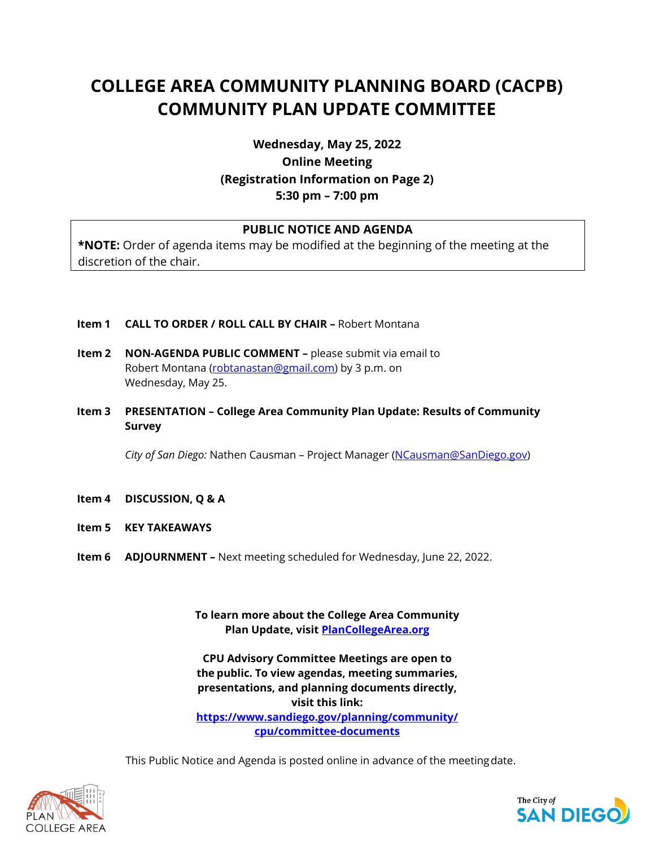# **COLLEGE AREA COMMUNITY PLANNING BOARD (CACPB) COMMUNITY PLAN UPDATE COMMITTEE**

# **Wednesday, May 25, 2022 Online Meeting (Registration Information on Page 2) 5:30 pm – 7:00 pm**

# **PUBLIC NOTICE AND AGENDA**

**\*NOTE:** Order of agenda items may be modified at the beginning of the meeting at the discretion of the chair.

- **Item 1 CALL TO ORDER / ROLL CALL BY CHAIR –** Robert Montana
- **Item 2 NON-AGENDA PUBLIC COMMENT –** please submit via email to Robert Montana [\(robtanastan@gmail.com\)](mailto:robtanastan@gmail.com) by 3 p.m. on Wednesday, May 25.
- **Item 3 PRESENTATION – College Area Community Plan Update: Results of Community Survey**

*City of San Diego:* Nathen Causman – Project Manager [\(NCausman@SanDiego.gov\)](mailto:NCausman@SanDiego.gov)

- **Item 4 DISCUSSION, Q & A**
- **Item 5 KEY TAKEAWAYS**
- **Item 6 ADJOURNMENT –** Next meeting scheduled for Wednesday, June 22, 2022.

**To learn more about the College Area Community Plan Update, visit PlanCollegeArea.org**

**CPU Advisory Committee Meetings are open to the public. To view agendas, meeting summaries, presentations, and planning documents directly, visit this link: [https://www.sandiego.gov/planning/community/](https://www.sandiego.gov/planning/community/cpu/committee-documents) [cpu/committee-documents](https://www.sandiego.gov/planning/community/cpu/committee-documents)**

This Public Notice and Agenda is posted online in advance of the meetingdate.